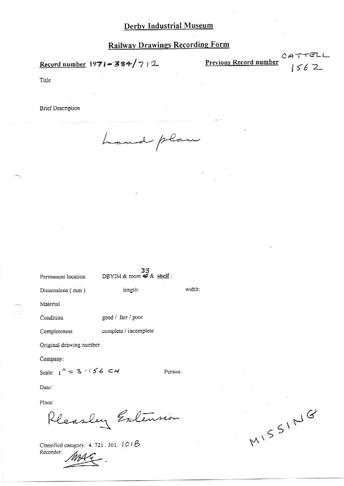Record number  $1971 - 384/7$  | 2

Previous Record number

CATTELL<br> $1562$ 

Title

**Brief Description** 

hand plan

DBYIM & room  $\overline{43}$  & shelf: Permanent location

Dimensions (mm)

length:

good / fair / poor

complete / incomplete

Material

Condition

Completeness

Original drawing number

Company:

Scale:  $1'' = 3 \cdot 156 \text{ C}$ 

Person:

width:

Date:

Place:

Pleasley Extension

Classified category: 4. 721.301. 101B Recorder:

MISSING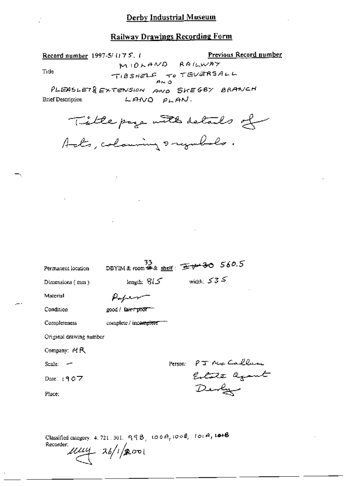# Railway Drawings Recording Form

Previous Record number Record number 1997-5/1175.1 MIOLAND RAILWAY TIBSHELF TO TEVERSALL PLEASLET& EXTENSION AND SKEGBY BRANCH

 $L$ ANO  $PLAN$ .

 $\mathcal{I}$ 

**Brief Description** 

 $\overline{a}$ 

Tide

Title page with details of Als, coloning sayubols.

| Permanent location |                         | DBYIM&room # & shelf: $\pm 30.5$  |         |                  |                |  |
|--------------------|-------------------------|-----------------------------------|---------|------------------|----------------|--|
| Dimensions (mm)    |                         | length: $615$                     |         | width: $535$     |                |  |
| Material           |                         |                                   |         |                  |                |  |
| Condition          |                         | good / fa <del>ir / poor</del>    |         |                  |                |  |
| Completeness       |                         | complete / inco <del>mplete</del> |         |                  |                |  |
|                    | Original drawing number |                                   |         |                  |                |  |
| Company: MR        |                         |                                   |         |                  |                |  |
| Scale:             |                         |                                   | Person: |                  | PJ Nic Caller  |  |
| Date: $1907$       |                         |                                   |         |                  | Estate against |  |
| Place:             |                         |                                   |         | $\mathcal{D}$ en |                |  |
|                    |                         |                                   |         |                  |                |  |
|                    |                         |                                   |         |                  |                |  |

Classified category, 4, 721, 301,  $999, 1009, 1008, 1014, 1018$ Recorder:

 $\mu\mu\mu$  26/1/2001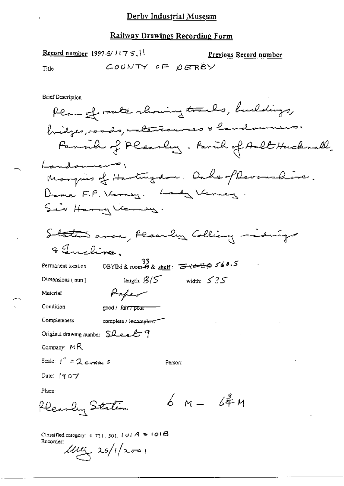**Record number 1997-5/1175, 11** Previous Record number COUNTY OF DERBY Title **Brief Description** Plan of route showing tracks, buildings, bridges, roads, materialenses & landsumens. Fammer of Planley. Parul of Ault Hucknell. Landowners; Manquis of Hartingdon. Dake of Devanshire. Dame F.P. Verney. Lady Verney. Sir Harry Verney. Staten area, Planly Colling riden & Incline. DBYIM&room  $\frac{33}{28}$  shelf:  $\frac{133}{28}$  shelf  $\frac{133}{28}$  shelf Permanent location. length;  $3/5$ width:  $535$ Dimensions  $(mn)$ Paper Material Condition good / fair / poor-Completeness complete / incomplete Original drawing number  $SLee$   $f$ Company: MR Scale:  $f'' = 2$  compares Person: Date: 19 077 Place:  $6 - 64$   $+$ Pleasley Station Classified category:  $4.721.301.101A + 101B$ Recorder:

 $1/1/12$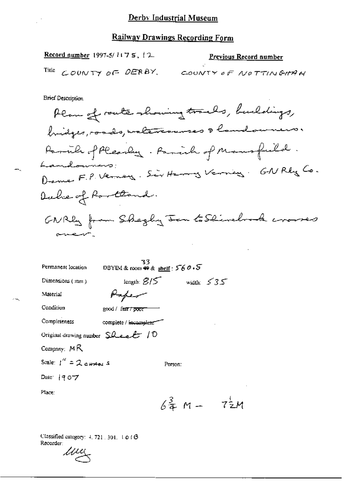Record number 1997-5/ $1175$ ,  $12$ 

#### **Previous Record number**

Title COUNTY OF DERBY. COUNTY OF NOTTINGHAM

**Brief Description** 

Plan of route showing tracks, buildings, bridges, roads, waltercourses & landowners. Parcile of Pleasely. Parish of Mansfield. Landowner Denne F.P. Verney. Sir Henny Verney. GNRby Co. Duche of Roottand. GNRB from Shegly Jan to Skindrock crosses وسهد يعتبهن

| Permanent location                                      | 33<br>DBYIM & room $\bigstar$ & shelf: $560.5$ |                |  |
|---------------------------------------------------------|------------------------------------------------|----------------|--|
| Dimensions (mm)                                         | length: $\mathcal{B}/\mathcal{F}$              | width: $535$   |  |
| Material                                                |                                                |                |  |
| Condition                                               | good / famr <i>i</i> poor                      |                |  |
| Completeness                                            | complete / incomplete                          |                |  |
| Original drawing number $\mathsf{S}\mathcal{L}$ each 10 |                                                |                |  |
| Company: $M R$                                          |                                                |                |  |
| Scale: $1'' = 2$ cHMALS<br>Person:                      |                                                |                |  |
| Date: 1907                                              |                                                |                |  |
| Place:                                                  |                                                |                |  |
|                                                         | $6\frac{3}{4}$ M –                             | $7\frac{1}{2}$ |  |

Classified category:  $4, 721, 301, 1010$ Recorder:

 $\mu\mu$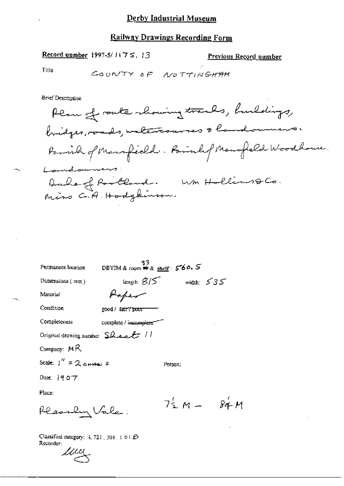Record number 1997-5/1175, 13

Previous Record number

М

Title

COUNTY OF NOTTINGHAM

**Brief Description** 

Plan of route showing tracks, buildings, bridges, roads, unterrourses & landommens. Parish of Mannfield. Parishof Mannfeld Woodhouse. Landouners: Duke of Rootland. Wm Hollins QCo.<br>Mins C.A. Hodgkinson.

| Permanent location                                    | 33<br>DBYIM&room <sub>♥&amp;shelf</sub> : 560.5 |                         |              |
|-------------------------------------------------------|-------------------------------------------------|-------------------------|--------------|
| Dimensions $(mn)$                                     | length: $\mathcal{B}/\mathcal{S}$               |                         | width: $535$ |
| Material                                              | Haper                                           |                         |              |
| Condition                                             | good / fair?"poor                               |                         |              |
| Completeness                                          | complete / incomplete"                          |                         |              |
| Original drawing number $\text{S}}A$ e a $\ell$ / /   |                                                 |                         |              |
| Company: $M\,R$                                       |                                                 |                         |              |
| Scale: $1'' = 2$ c <sub>H2</sub> s                    |                                                 | Person:                 |              |
| Date: $[407$                                          |                                                 |                         |              |
| Place:                                                |                                                 |                         |              |
| Pleasen Vale.                                         |                                                 | $7^{\frac{1}{2}}$ M $-$ |              |
| Classified category: $4, 721, 301, 101B$<br>Recorded. |                                                 |                         |              |

 $\mu\mu$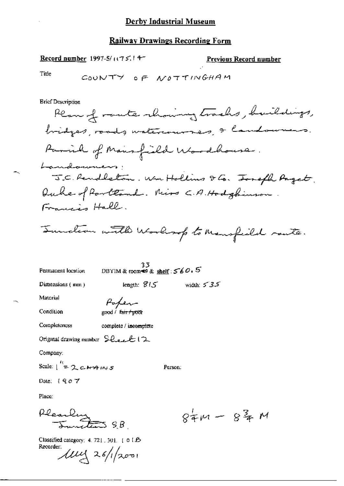Record number 1997-5/1075.14-

Previous Record number

Title

۰,

**Brief Description** 

33<br>DBYIM & toom \$ & shelf:  $560.5$ Permanent location length:  $815$  width:  $535$ 

Dimensions (mm)

Person:

Material

Condition

Parlen

Completeness complete / ineomplete

Original drawing number Sleet 12

Company:

Scale:  $\int_{0}^{t_1} = 2 e^{i t_1}$ 

Date: 1907

Place:

Pleaseling 9.B.

 $84m - 84m$ 

Classified category: 4. 721, 301. [ 01.65 Recorder:

llly 26/1/2001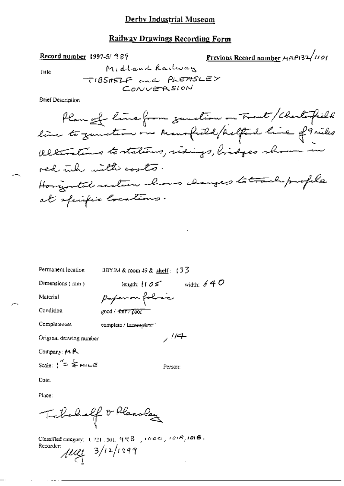## **Railway Drawings Recording Form**

Previous Record number MAP132/1101

Title

Midland Railway TIBSHELF and PLEASLEY CONVERSION

**Brief Description** 

Record number 1997-5/989

Permanent location

DBYIM & room 49 & shelf:  $\sqrt{3}$ 

Dimensions (mm)

length:  $105$  width: 640 paperon folice

Condition

Material

good / fair / poor

Completeness

complete / imcompleter

Original drawing number

Company: 14 R

Scale:  $i^{\prime\prime} = \frac{1}{4}$  MILE

Date.

Place:

Telebulf of Pleasher

Classified category:  $4.721$ ,  $301$ ,  $99B$ ,  $100C$ ,  $100B$ , Recorder:  $\mu$ ueg 3/12/1999

 $,14$ 

Person: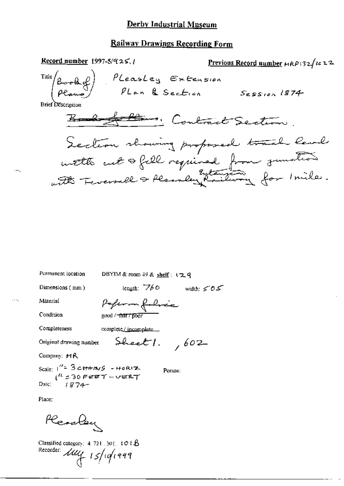Record number  $1997-5/925.1$ Previous Record number HRP132/1022 PLeasley Extension<br>PLan & Section Session 1874 Title / **Brief Description** Bando Altimo, Contract Section. Section showing proposed track level

Permanent location

DBYIM & room 49 & shelf: 129

Dimensions (mm)

length:  $760$  width:  $505$ 

Material

Poferm folice

Condition

good / fair / poor

Completeness

complete/incomplete

Original drawing number

 $Sheet1.$ , 602

Person:

Company: MR

Scale:  $1'' = 3$  chang - HORIZ  $1874$ Date:

Place:

Reactor

Classified category:  $4.721, 301, 101.$  $\beta$ Recorder: My 15/10/1999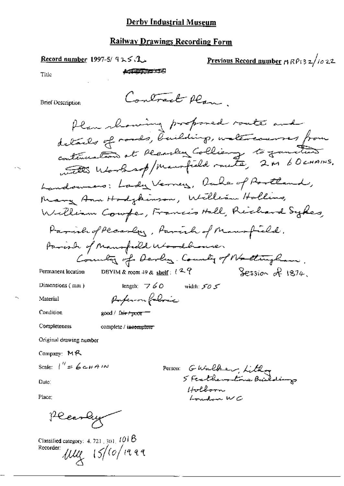Contract Plan.

Record number 1997-5/ $92.5$ 

Previous Record number 19 RP13 2/10 22

Title

$$
\sqrt{10.97777776}
$$

**Brief Description** 

Plan showing proposed route and details of roads, building, watercourses from continuation at Rearbey Colliance to function with Worksof/Maurfield route, 2 M 60 crains. Landowners: Landy Verney, Oule of Portland, Many Ann Hadykinson, William Hallins, William Coupe, Francis Hall, Richard Sykes, Parish of Pleaser, Parish of Mansfield. Parish of Mansfeeld Woodbrowner Country of Darley Country of Nattingham. DBYIM & room 49 & shelf:  $l^2$  ?  $Sesion$  of  $1874$ Permanent location length:  $760$  width:  $505$ Dimensions (mm)

Condition

Material

Paperon followic  $\text{good}$  /  $\text{Air}$  +  $\text{poor}$  =

Completeness complete / incomplete

Original drawing number

Company:  $M$ <sup>2</sup>

Scale:  $1'' = 6c+4N$ 

Date:

Place:

Pleastry

Classified category:  $4.721,301,101$   $8$  $\mu$ ug 15/10/1999 Recorder:

Person: GWalker, Lithog Holborn Loudon WC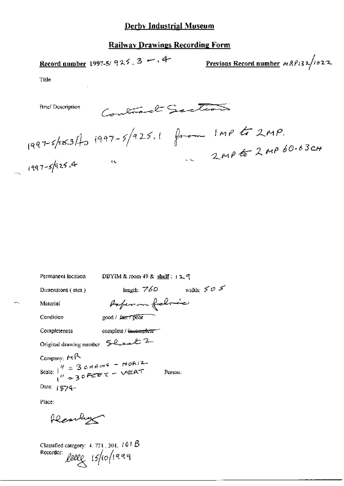## **Railway Drawings Recording Form**

Record number 1997-5/ 925, 3 - 4

Previous Record number  $MRP$ 132/1022

Title

 $(997-5/925.1)$   $(997-5/925.1)$   $(997-5/925.1)$   $(997-5/925.4)$ Contract Sections **Brief Description**  $2MP652MP60.63c$ 

÷.

| Permanent location                                                                                                                                                                                            | DBYIM & room $49$ & shelf: $12$ , 9  |              |
|---------------------------------------------------------------------------------------------------------------------------------------------------------------------------------------------------------------|--------------------------------------|--------------|
| Dimensions (mm)                                                                                                                                                                                               | length: $760$                        | width: $505$ |
| Material                                                                                                                                                                                                      | Poperon folosic                      |              |
| Condition                                                                                                                                                                                                     | good / farry poor                    |              |
| Completeness                                                                                                                                                                                                  | complete / <del>incomplete =</del> 1 |              |
| Original drawing number $\mathcal{L}_{\text{local}}$ 2                                                                                                                                                        |                                      |              |
| Company: MR<br>Scale: $\begin{pmatrix} q & 2 & 3 & c+q & p & q & - & H & q & 12 \\ 0 & 2 & 3 & 0 & F & f & - & C & F & F & F \\ 0 & 2 & 3 & 0 & F & - & G & - & G & F & F & F \end{pmatrix}$<br>Date: $1974-$ |                                      | Person:      |
| Place:                                                                                                                                                                                                        |                                      |              |

Rearling

Classified category: 4, 721, 301,  $101B$ Recorder: Reelly 15/10/1999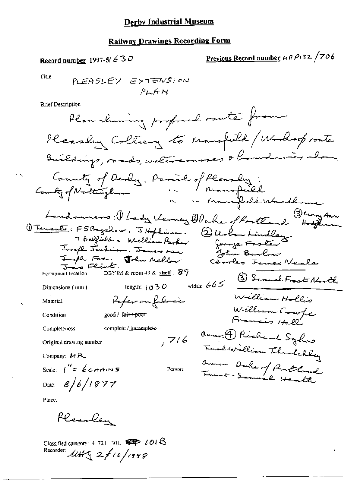# **Railway Drawings Recording Form**

# Record number 1997-5/ $630$

# Previous Record number HRP132/706

Title

**Brief Description** 

Place:

Pleasey

Classified category: 4, 721, 301,  $\overline{\mathscr{L}P}$  1018<br>Recorder:  $\mathscr{M} \mathscr{H} \subset \mathscr{L}$  10 / 1998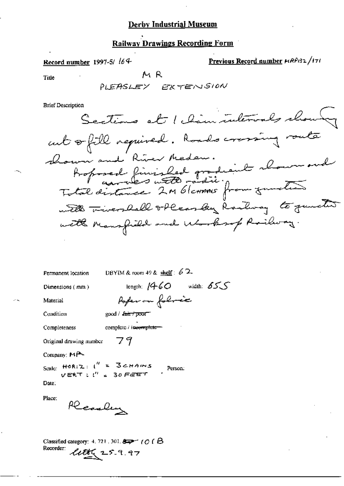# **Railway Drawings Recording Form**

Record number 1997-5/ 164

Previous Record number HRP132/171

**Title** 

MR

**Brief Description** 

|                                                      | Permanent location DBYIM & room 49 & shelf : $62$ |
|------------------------------------------------------|---------------------------------------------------|
| Dimensions $(mn)$                                    | length: $1460$ width: $655$                       |
| Material                                             | Poper on followic                                 |
| Condition                                            | $good /$ $\ell$ an $\ell$ poor                    |
| Completeness                                         | complete / incomplete-                            |
| Original drawing number $-79$                        |                                                   |
| Company: MP-                                         |                                                   |
| Scale: $HORIZ: I'' = 3cHAMS$<br>$VERT: I'' = 3cFGET$ | Person:                                           |
| Date:                                                |                                                   |
| Place:<br>Rearling                                   |                                                   |

Classified category: 4, 721, 301,  $\Longleftrightarrow$  (Of  $\beta$ Recorder:  $2000$   $25.9.97$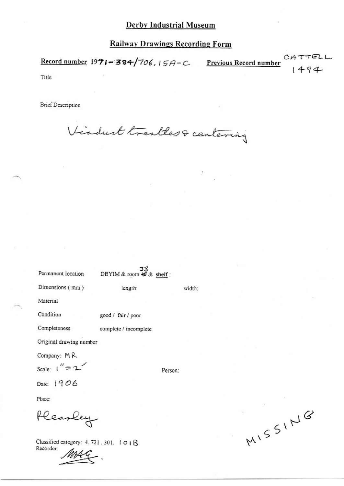CA Record number  $1971 - 384/706$ ,  $15A-C$  Previous Record number  $1494$ 

Title

**Brief Description** 

Virduct trestless centering

| Permanent location      | $33$<br>DBYIM & room $49$ & shelf: |         |        |
|-------------------------|------------------------------------|---------|--------|
| Dimensions (mm)         | length:                            |         | width: |
| Material                |                                    |         |        |
| Condition               | good / fair / poor                 |         |        |
| Completeness            | complete / incomplete              |         |        |
| Original drawing number |                                    |         |        |
| Company: MR             |                                    |         |        |
| Scale: $1'' = 2$        |                                    | Person: |        |
| Date: 1906              |                                    |         |        |
| Place:                  |                                    |         |        |
| learley                 |                                    |         |        |

Classified category: 4, 721, 301. 1018 Recorder:

MISSING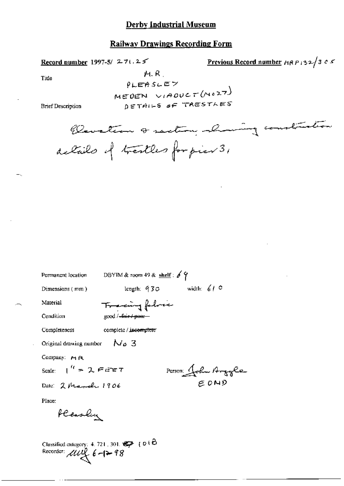## **Railway Drawings Recording Form**

Previous Record number  $H(32/365)$ Record number 1997-5/  $271.25$ M.R. Title  $PLEASLEY$ MEDEN VIADUCT (NOZT) DETAILS OF TRESTLES **Brief Description** Claustian & saction showing construction actails of treatles for pier 3,

Permanent location

DBYIM & room 49 & shelf :  $69$ 

Dimensions (mm)

length:  $930$  width:  $610$ 

Material Condition

good / -fair / poor -

Completeness

complete / incomplete

Tracing folice

Original drawing number  $N_0$  3

Company:  $M \, R$ 

Scale:  $\int_0^{t} f(x) dx = \int_0^{t} f(x) dx$ 

Date: 2 March 1906

Person John Argyle

Place:

Plasley

Classified category: 4.721, 301.  $\mathscr{D}$  (010)<br>Recorder:  $\mathscr{UU}_{\mathcal{X}}^{\mathcal{L}}$   $\mathscr{E}$  -(> 98)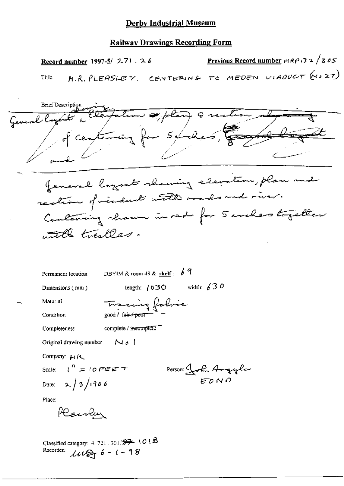#### **Railway Drawings Recording Form**

Previous Record number  $P(32/365)$ Record number 1997-5/ 271.26 M.R. PLEASLEY. CENTERING TO MEDEN VIADUCT (4027) Title **Brief Description** terfation of plan & rection General lan centering for suches, Jenaral layout showing elevation, plan and rection of visduct with made and river. Containing shown in red for 5 weles together with trailles. DBYIM & room 49 &  $\frac{\text{shell}}{2}$ :  $6\frac{q}{4}$ Permanent location length:  $(030$  width:  $\sqrt{30}$ Dimensions (mm) Tracing fabric Material Condition good / fair+poor complete / incomplete Completeness ا ملا Original drawing number Company: MR Scale:  $l'' = 10$  FEET Person John Argyle Date:  $2/3/1906$ Place: Rearlen Classified category: 4, 721, 301,  $\frac{10.7}{27}$  (O i B Recorder:  $\text{mod}6 - 1 - 98$